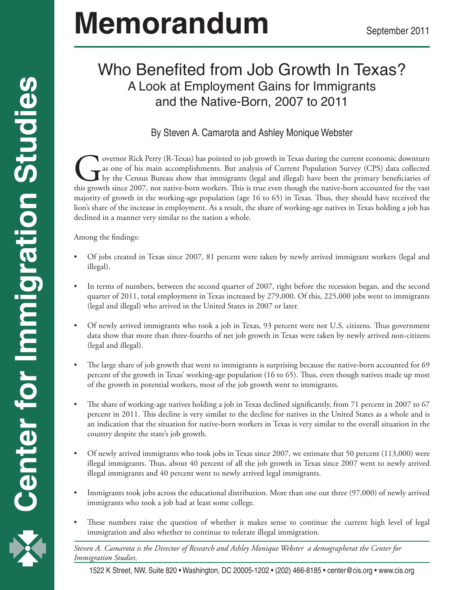# **Memorandum**

# Who Benefited from Job Growth In Texas? A Look at Employment Gains for Immigrants and the Native-Born, 2007 to 2011

# By Steven A. Camarota and Ashley Monique Webster

Governor Rick Perry (R-Texas) has pointed to job growth in Texas during the current economic downturn as one of his main accomplishments. But analysis of Current Population Survey (CPS) data collected by the Census Bureau as one of his main accomplishments. But analysis of Current Population Survey (CPS) data collected by the Census Bureau show that immigrants (legal and illegal) have been the primary beneficiaries of majority of growth in the working-age population (age 16 to 65) in Texas. Thus, they should have received the lion's share of the increase in employment. As a result, the share of working-age natives in Texas holding a job has declined in a manner very similar to the nation a whole.

Among the findings:

- Of jobs created in Texas since 2007, 81 percent were taken by newly arrived immigrant workers (legal and illegal).
- In terms of numbers, between the second quarter of 2007, right before the recession began, and the second quarter of 2011, total employment in Texas increased by 279,000. Of this, 225,000 jobs went to immigrants (legal and illegal) who arrived in the United States in 2007 or later.
- Of newly arrived immigrants who took a job in Texas, 93 percent were not U.S. citizens. Thus government data show that more than three-fourths of net job growth in Texas were taken by newly arrived non-citizens (legal and illegal).
- The large share of job growth that went to immigrants is surprising because the native-born accounted for 69 percent of the growth in Texas' working-age population (16 to 65). Thus, even though natives made up most of the growth in potential workers, most of the job growth went to immigrants.
- The share of working-age natives holding a job in Texas declined significantly, from 71 percent in 2007 to 67 percent in 2011. This decline is very similar to the decline for natives in the United States as a whole and is an indication that the situation for native-born workers in Texas is very similar to the overall situation in the country despite the state's job growth.
- Of newly arrived immigrants who took jobs in Texas since 2007, we estimate that 50 percent (113,000) were illegal immigrants. Thus, about 40 percent of all the job growth in Texas since 2007 went to newly arrived illegal immigrants and 40 percent went to newly arrived legal immigrants.
- Immigrants took jobs across the educational distribution. More than one out three (97,000) of newly arrived immigrants who took a job had at least some college.
- These numbers raise the question of whether it makes sense to continue the current high level of legal immigration and also whether to continue to tolerate illegal immigration.

|<br>|-*Steven A. Camarota is the Director of Research and Ashley Monique Webster a demographerat the Center for Immigration Studies.*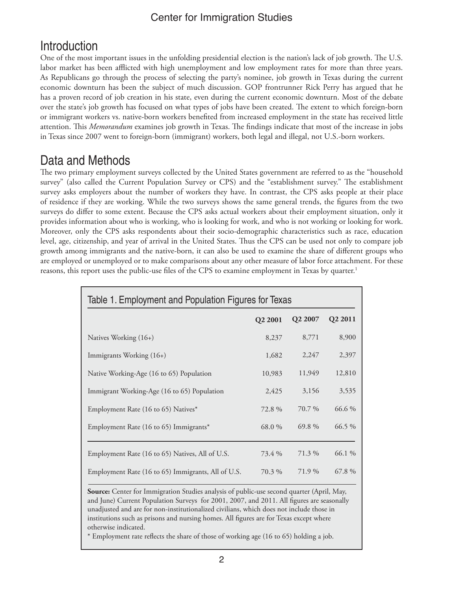# **Introduction**

One of the most important issues in the unfolding presidential election is the nation's lack of job growth. The U.S. labor market has been afflicted with high unemployment and low employment rates for more than three years. As Republicans go through the process of selecting the party's nominee, job growth in Texas during the current economic downturn has been the subject of much discussion. GOP frontrunner Rick Perry has argued that he has a proven record of job creation in his state, even during the current economic downturn. Most of the debate over the state's job growth has focused on what types of jobs have been created. The extent to which foreign-born or immigrant workers vs. native-born workers benefited from increased employment in the state has received little attention. This *Memorandum* examines job growth in Texas. The findings indicate that most of the increase in jobs in Texas since 2007 went to foreign-born (immigrant) workers, both legal and illegal, not U.S.-born workers.

# Data and Methods

The two primary employment surveys collected by the United States government are referred to as the "household survey" (also called the Current Population Survey or CPS) and the "establishment survey." The establishment survey asks employers about the number of workers they have. In contrast, the CPS asks people at their place of residence if they are working. While the two surveys shows the same general trends, the figures from the two surveys do differ to some extent. Because the CPS asks actual workers about their employment situation, only it provides information about who is working, who is looking for work, and who is not working or looking for work. Moreover, only the CPS asks respondents about their socio-demographic characteristics such as race, education level, age, citizenship, and year of arrival in the United States. Thus the CPS can be used not only to compare job growth among immigrants and the native-born, it can also be used to examine the share of different groups who are employed or unemployed or to make comparisons about any other measure of labor force attachment. For these reasons, this report uses the public-use files of the CPS to examine employment in Texas by quarter.<sup>1</sup>

| Table 1. Employment and Population Figures for Texas |         |                     |                     |  |  |  |  |  |  |
|------------------------------------------------------|---------|---------------------|---------------------|--|--|--|--|--|--|
|                                                      | Q2 2001 | Q <sub>2</sub> 2007 | Q <sub>2</sub> 2011 |  |  |  |  |  |  |
| Natives Working (16+)                                | 8,237   | 8,771               | 8,900               |  |  |  |  |  |  |
| Immigrants Working (16+)                             | 1,682   | 2,247               | 2,397               |  |  |  |  |  |  |
| Native Working-Age (16 to 65) Population             | 10,983  | 11,949              | 12,810              |  |  |  |  |  |  |
| Immigrant Working-Age (16 to 65) Population          | 2,425   | 3,156               | 3,535               |  |  |  |  |  |  |
| Employment Rate (16 to 65) Natives*                  | 72.8%   | 70.7 %              | 66.6 %              |  |  |  |  |  |  |
| Employment Rate (16 to 65) Immigrants*               | 68.0 %  | 69.8%               | $66.5\%$            |  |  |  |  |  |  |
| Employment Rate (16 to 65) Natives, All of U.S.      | 73.4 %  | 71.3 %              | 66.1 %              |  |  |  |  |  |  |
| Employment Rate (16 to 65) Immigrants, All of U.S.   | 70.3 %  | 71.9 %              | 67.8 %              |  |  |  |  |  |  |

**Source:** Center for Immigration Studies analysis of public-use second quarter (April, May, and June) Current Population Surveys for 2001, 2007, and 2011. All figures are seasonally unadjusted and are for non-institutionalized civilians, which does not include those in institutions such as prisons and nursing homes. All figures are for Texas except where otherwise indicated.

\* Employment rate reflects the share of those of working age (16 to 65) holding a job.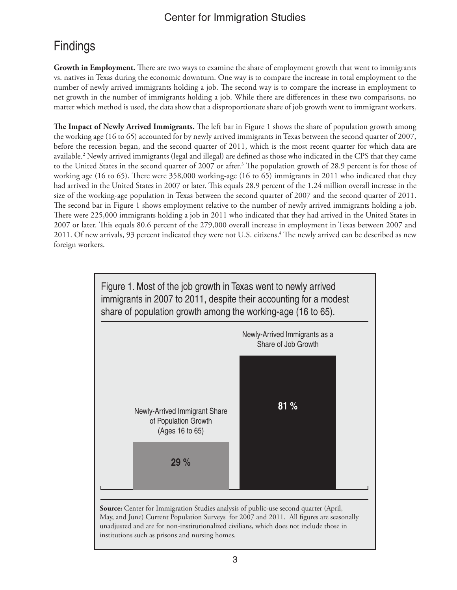# **Findings**

**Growth in Employment.** There are two ways to examine the share of employment growth that went to immigrants vs. natives in Texas during the economic downturn. One way is to compare the increase in total employment to the number of newly arrived immigrants holding a job. The second way is to compare the increase in employment to net growth in the number of immigrants holding a job. While there are differences in these two comparisons, no matter which method is used, the data show that a disproportionate share of job growth went to immigrant workers.

**The Impact of Newly Arrived Immigrants.** The left bar in Figure 1 shows the share of population growth among the working age (16 to 65) accounted for by newly arrived immigrants in Texas between the second quarter of 2007, before the recession began, and the second quarter of 2011, which is the most recent quarter for which data are available.2 Newly arrived immigrants (legal and illegal) are defined as those who indicated in the CPS that they came to the United States in the second quarter of 2007 or after.<sup>3</sup> The population growth of 28.9 percent is for those of working age (16 to 65). There were 358,000 working-age (16 to 65) immigrants in 2011 who indicated that they had arrived in the United States in 2007 or later. This equals 28.9 percent of the 1.24 million overall increase in the size of the working-age population in Texas between the second quarter of 2007 and the second quarter of 2011. The second bar in Figure 1 shows employment relative to the number of newly arrived immigrants holding a job. There were 225,000 immigrants holding a job in 2011 who indicated that they had arrived in the United States in 2007 or later. This equals 80.6 percent of the 279,000 overall increase in employment in Texas between 2007 and 2011. Of new arrivals, 93 percent indicated they were not U.S. citizens.<sup>4</sup> The newly arrived can be described as new foreign workers.



May, and June) Current Population Surveys for 2007 and 2011. All figures are seasonally unadjusted and are for non-institutionalized civilians, which does not include those in institutions such as prisons and nursing homes.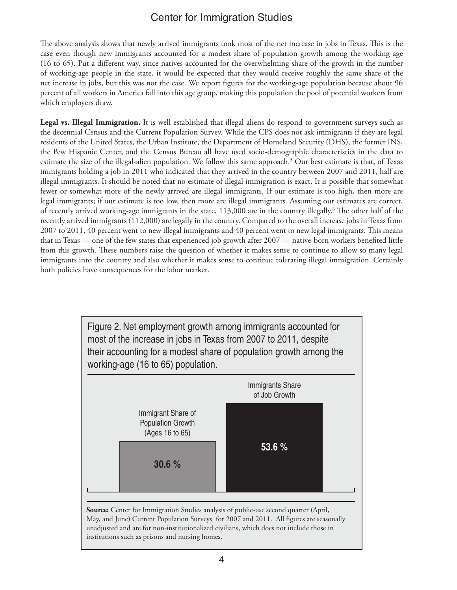The above analysis shows that newly arrived immigrants took most of the net increase in jobs in Texas. This is the case even though new immigrants accounted for a modest share of population growth among the working age (16 to 65). Put a different way, since natives accounted for the overwhelming share of the growth in the number of working-age people in the state, it would be expected that they would receive roughly the same share of the net increase in jobs, but this was not the case. We report figures for the working-age population because about 96 percent of all workers in America fall into this age group, making this population the pool of potential workers from which employers draw.

**Legal vs. Illegal Immigration.** It is well established that illegal aliens do respond to government surveys such as the decennial Census and the Current Population Survey. While the CPS does not ask immigrants if they are legal residents of the United States, the Urban Institute, the Department of Homeland Security (DHS), the former INS, the Pew Hispanic Center, and the Census Bureau all have used socio-demographic characteristics in the data to estimate the size of the illegal-alien population. We follow this same approach.<sup>5</sup> Our best estimate is that, of Texas immigrants holding a job in 2011 who indicated that they arrived in the country between 2007 and 2011, half are illegal immigrants. It should be noted that no estimate of illegal immigration is exact. It is possible that somewhat fewer or somewhat more of the newly arrived are illegal immigrants. If our estimate is too high, then more are legal immigrants; if our estimate is too low, then more are illegal immigrants. Assuming our estimates are correct, of recently arrived working-age immigrants in the state, 113,000 are in the country illegally.<sup>6</sup> The other half of the recently arrived immigrants (112,000) are legally in the country. Compared to the overall increase jobs in Texas from 2007 to 2011, 40 percent went to new illegal immigrants and 40 percent went to new legal immigrants. This means that in Texas — one of the few states that experienced job growth after 2007 — native-born workers benefited little from this growth. These numbers raise the question of whether it makes sense to continue to allow so many legal immigrants into the country and also whether it makes sense to continue tolerating illegal immigration. Certainly both policies have consequences for the labor market.

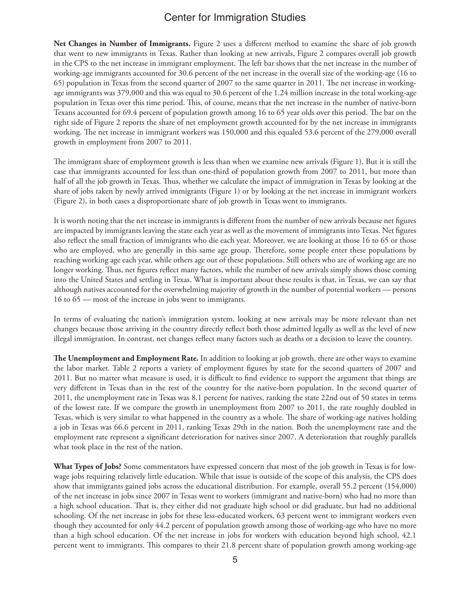**Net Changes in Number of Immigrants.** Figure 2 uses a different method to examine the share of job growth that went to new immigrants in Texas. Rather than looking at new arrivals, Figure 2 compares overall job growth in the CPS to the net increase in immigrant employment. The left bar shows that the net increase in the number of working-age immigrants accounted for 30.6 percent of the net increase in the overall size of the working-age (16 to 65) population in Texas from the second quarter of 2007 to the same quarter in 2011. The net increase in workingage immigrants was 379,000 and this was equal to 30.6 percent of the 1.24 million increase in the total working-age population in Texas over this time period. This, of course, means that the net increase in the number of native-born Texans accounted for 69.4 percent of population growth among 16 to 65 year olds over this period. The bar on the right side of Figure 2 reports the share of net employment growth accounted for by the net increase in immigrants working. The net increase in immigrant workers was 150,000 and this equaled 53.6 percent of the 279,000 overall growth in employment from 2007 to 2011.

The immigrant share of employment growth is less than when we examine new arrivals (Figure 1). But it is still the case that immigrants accounted for less than one-third of population growth from 2007 to 2011, but more than half of all the job growth in Texas. Thus, whether we calculate the impact of immigration in Texas by looking at the share of jobs taken by newly arrived immigrants (Figure 1) or by looking at the net increase in immigrant workers (Figure 2), in both cases a disproportionate share of job growth in Texas went to immigrants.

It is worth noting that the net increase in immigrants is different from the number of new arrivals because net figures are impacted by immigrants leaving the state each year as well as the movement of immigrants into Texas. Net figures also reflect the small fraction of immigrants who die each year. Moreover, we are looking at those 16 to 65 or those who are employed, who are generally in this same age group. Therefore, some people enter these populations by reaching working age each year, while others age out of these populations. Still others who are of working age are no longer working. Thus, net figures reflect many factors, while the number of new arrivals simply shows those coming into the United States and settling in Texas. What is important about these results is that, in Texas, we can say that although natives accounted for the overwhelming majority of growth in the number of potential workers — persons 16 to 65 — most of the increase in jobs went to immigrants.

In terms of evaluating the nation's immigration system, looking at new arrivals may be more relevant than net changes because those arriving in the country directly reflect both those admitted legally as well as the level of new illegal immigration. In contrast, net changes reflect many factors such as deaths or a decision to leave the country.

**The Unemployment and Employment Rate.** In addition to looking at job growth, there are other ways to examine the labor market. Table 2 reports a variety of employment figures by state for the second quarters of 2007 and 2011. But no matter what measure is used, it is difficult to find evidence to support the argument that things are very different in Texas than in the rest of the country for the native-born population. In the second quarter of 2011, the unemployment rate in Texas was 8.1 percent for natives, ranking the state 22nd out of 50 states in terms of the lowest rate. If we compare the growth in unemployment from 2007 to 2011, the rate roughly doubled in Texas, which is very similar to what happened in the country as a whole. The share of working-age natives holding a job in Texas was 66.6 percent in 2011, ranking Texas 29th in the nation. Both the unemployment rate and the employment rate represent a significant deterioration for natives since 2007. A deterioration that roughly parallels what took place in the rest of the nation.

**What Types of Jobs?** Some commentators have expressed concern that most of the job growth in Texas is for lowwage jobs requiring relatively little education. While that issue is outside of the scope of this analysis, the CPS does show that immigrants gained jobs across the educational distribution. For example, overall 55.2 percent (154,000) of the net increase in jobs since 2007 in Texas went to workers (immigrant and native-born) who had no more than a high school education. That is, they either did not graduate high school or did graduate, but had no additional schooling. Of the net increase in jobs for these less-educated workers, 63 percent went to immigrant workers even though they accounted for only 44.2 percent of population growth among those of working-age who have no more than a high school education. Of the net increase in jobs for workers with education beyond high school, 42.1 percent went to immigrants. This compares to their 21.8 percent share of population growth among working-age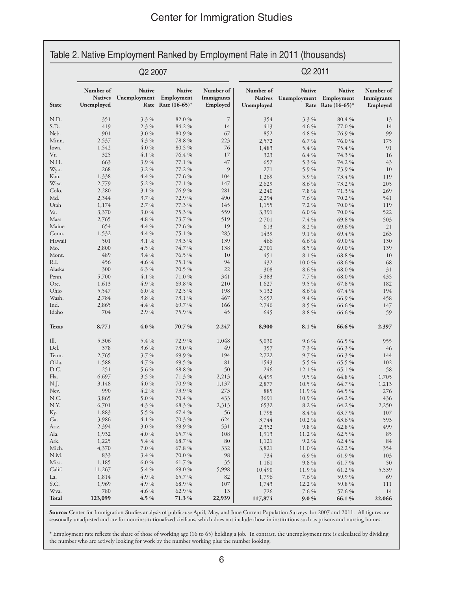| Q2 2007                                   |                                          |                                        |                                     | Q2 2011                                   |                               |                                                      |                                     |
|-------------------------------------------|------------------------------------------|----------------------------------------|-------------------------------------|-------------------------------------------|-------------------------------|------------------------------------------------------|-------------------------------------|
| Number of<br><b>Natives</b><br>Unemployed | <b>Native</b><br>Unemployment Employment | <b>Native</b><br>Rate Rate $(16-65)^*$ | Number of<br>Immigrants<br>Employed | Number of<br><b>Natives</b><br>Unemployed | <b>Native</b><br>Unemployment | <b>Native</b><br>Employment<br>Rate Rate $(16-65)^*$ | Number of<br>Immigrants<br>Employed |
| 351                                       | 3.3 %                                    | 82.0 %                                 | $\overline{7}$                      | 354                                       | 3.3 %                         | 80.4 %                                               | 13                                  |
| 419                                       | 2.3 %                                    | 84.2 %                                 | 14                                  | 413                                       | 4.6 %                         | 77.0 %                                               | 14                                  |
| 901                                       | 3.0%                                     | 80.9%                                  | 67                                  | 852                                       | 4.8 %                         | 76.9%                                                | 99                                  |
| 2,537                                     | 4.3 %                                    | 78.8 %                                 | 223                                 | 2,572                                     | 6.7 %                         | 76.0%                                                | 175                                 |
| 1,542                                     | 4.0 %                                    | 80.5 %                                 | 76                                  | 1,483                                     | 5.4 %                         | 75.4 %                                               | 91                                  |
| 325                                       | $4.1\%$                                  | 76.4 %                                 | 17                                  | 323                                       | 6.4 %                         | 74.3 %                                               | 16                                  |
| 663                                       | 3.9%                                     | 77.1 %                                 | 47                                  | 657                                       | 5.3 %                         | 74.2 %                                               | 43                                  |
| 268                                       | 3.2 %                                    | 77.2 %                                 | 9                                   | 271                                       | 5.9%                          | 73.9%                                                | 10                                  |
| 1,338                                     | $4.4\%$                                  | 77.6 %                                 | 104                                 | 1,269                                     | 5.9%                          | 73.4 %                                               | 119                                 |
| 2,779                                     | 5.2 %                                    | 77.1 %                                 | 147                                 | 2,629                                     | 8.6 %                         | 73.2 %                                               | 205                                 |
| 2,280                                     | 3.1 %                                    | 76.9%                                  | 281                                 | 2,240                                     | 7.8 %                         | 71.3 %                                               | 269                                 |
| 2,344                                     | 3.7 %                                    | 72.9 %                                 | 490                                 | 2,294                                     | 7.6 %                         | 70.2 %                                               | 541                                 |
| 1,174<br>3,370                            | 2.7 %<br>3.0%                            | 77.3 %<br>75.3 %                       | 145<br>559                          | 1,155<br>3,391                            | 7.2 %<br>6.0%                 | 70.0%                                                | 119<br>522                          |
| 2,765                                     | 4.8 %                                    | 73.7%                                  | 519                                 | 2,701                                     | 7.4 %                         | 70.0%<br>69.8 %                                      | 503                                 |
| 654                                       | $4.4\%$                                  | 72.6 %                                 | 19                                  | 613                                       | 8.2 %                         | 69.6 %                                               | 21                                  |
| 1,532                                     | $4.4\%$                                  | 75.1 %                                 | 283                                 | 1439                                      | 9.1 %                         | 69.4 %                                               | 263                                 |
| 501                                       | $3.1\%$                                  | 73.3 %                                 | 139                                 | 466                                       | 6.6 %                         | 69.0 %                                               | 130                                 |
| 2,800                                     | 4.5 %                                    | 74.7 %                                 | 138                                 | 2,701                                     | 8.5 %                         | 69.0 %                                               | 139                                 |
| 489                                       | 3.4 %                                    | 76.5 %                                 | 10                                  | 451                                       | 8.1 %                         | 68.8%                                                | 10                                  |
| 456                                       | 4.6 %                                    | 75.1 %                                 | 94                                  | 432                                       | 10.0%                         | 68.6 %                                               | 68                                  |
| 300                                       | 6.3 %                                    | 70.5 %                                 | 22                                  | 308                                       | 8.6 %                         | 68.0%                                                | 31                                  |
| 5,700                                     | 4.1 %                                    | 71.0%                                  | 341                                 | 5,383                                     | 7.7 %                         | 68.0%                                                | 435                                 |
| 1,613                                     | 4.9%                                     | 69.8 %                                 | 210                                 | 1,627                                     | $9.5\%$                       | 67.8 %                                               | 182                                 |
| 5,547                                     | 6.0%                                     | 72.5 %                                 | 198                                 | 5,132                                     | 8.6 %                         | 67.4 %                                               | 194                                 |
| 2,784                                     | 3.8%                                     | 73.1 %                                 | 467                                 | 2,652                                     | 9.4%                          | 66.9%                                                | 458                                 |
| 2,865                                     | $4.4\%$                                  | 69.7 %                                 | 166                                 | 2,740                                     | 8.5 %                         | 66.6 %                                               | 147                                 |
| 704                                       | 2.9%                                     | 75.9%                                  | 45                                  | 645                                       | 8.8 %                         | 66.6 %                                               | 59                                  |
| 8,771                                     | 4.0%                                     | 70.7%                                  | 2,247                               | 8,900                                     | 8.1%                          | 66.6%                                                | 2,397                               |
| 5,306                                     | 5.4 %                                    | 72.9 %                                 | 1,048                               | 5,030                                     | 9.6 %                         | 66.5 %                                               | 955                                 |
| 378                                       | 3.6 %                                    | 73.0 %                                 | 49                                  | 357                                       | 7.3 %                         | 66.3 %                                               | 46                                  |
| 2,765                                     | $3.7\%$                                  | 69.9 %                                 | 194                                 | 2,722                                     | 9.7 %                         | 66.3 %                                               | 144                                 |
| 1,588                                     | 4.7 %                                    | 69.5 %                                 | 81                                  | 1543                                      | 5.5 %                         | 65.5 %                                               | 102                                 |
| 251                                       | 5.6 %                                    | 68.8%                                  | 50                                  | 246                                       | 12.1 %                        | 65.1 %                                               | 58                                  |
| 6,697                                     | 3.5 %                                    | 71.3 %                                 | 2,213                               | 6,499                                     | $9.5\%$                       | 64.8 %                                               | 1,705                               |
| 3,148<br>990                              | $4.0\%$<br>4.2 %                         | 70.9 %<br>73.9 %                       | 1,137<br>273                        | 2,877<br>885                              | $10.5\%$<br>11.9 %            | 64.7 %<br>64.5 %                                     | 1,213<br>276                        |
| 3,865                                     | 5.0%                                     | 70.4 %                                 | 433                                 | 3691                                      | 10.9%                         | 64.2 %                                               | 436                                 |
| 6,701                                     | 4.3 %                                    | 68.3 %                                 | 2,313                               | 6532                                      | 8.2 %                         | 64.2 %                                               | 2,250                               |
| 1,883                                     | 5.5 %                                    | 67.4 %                                 | 56                                  | 1,798                                     | 8.4 %                         | 63.7 %                                               | 107                                 |
| 3,986                                     | 4.1 %                                    | 70.3 %                                 | 624                                 | 3,744                                     | 10.2 %                        | 63.6 %                                               | 593                                 |
| 2,394                                     | 3.0%                                     | 69.9%                                  | 531                                 | 2,352                                     | 9.8 %                         | 62.8 %                                               | 499                                 |
| 1,932                                     | 4.0 %                                    | 65.7%                                  | 108                                 | 1,913                                     | 11.2 %                        | 62.5 %                                               | 85                                  |
| 1,225                                     | 5.4 %                                    | 68.7%                                  | 80                                  | 1,121                                     | $9.2\%$                       | 62.4 %                                               | 84                                  |
| 4,370                                     | 7.0 %                                    | 67.8 %                                 | 332                                 | 3,821                                     | 11.0 %                        | 62.2 %                                               | 354                                 |
| 833                                       | $3.4\%$                                  | 70.0 %                                 | 98                                  | 734                                       | 6.9%                          | 61.9%                                                | 103                                 |
| 1,185                                     | $6.0\ \%$                                | 61.7%                                  | 35                                  | 1,161                                     | 9.8 %                         | 61.7%                                                | 50                                  |
| 11,267                                    | 5.4 %                                    | 69.0%                                  | 5,998                               | 10,490                                    | 11.9 %                        | 61.2%                                                | 5,539                               |
| 1,814                                     | 4.9%                                     | 65.7%                                  | 82                                  | 1,796                                     | 7.6 %                         | 59.9%                                                | 69                                  |
| 1,969                                     | 4.9%                                     | 68.9%                                  | 107                                 | 1,743                                     | 12.2 %                        | 59.8%                                                | 111                                 |
| 780                                       | 4.6 %                                    | 62.9%                                  | 13                                  | 726                                       | 7.6 %                         | 57.6 %                                               | 14                                  |

**Source:** Center for Immigration Studies analysis of public-use April, May, and June Current Population Surveys for 2007 and 2011. All figures are seasonally unadjusted and are for non-institutionalized civilians, which does not include those in institutions such as prisons and nursing homes.

\* Employment rate reflects the share of those of working age (16 to 65) holding a job. In contrast, the unemployment rate is calculated by dividing the number who are actively looking for work by the number working plus the number looking.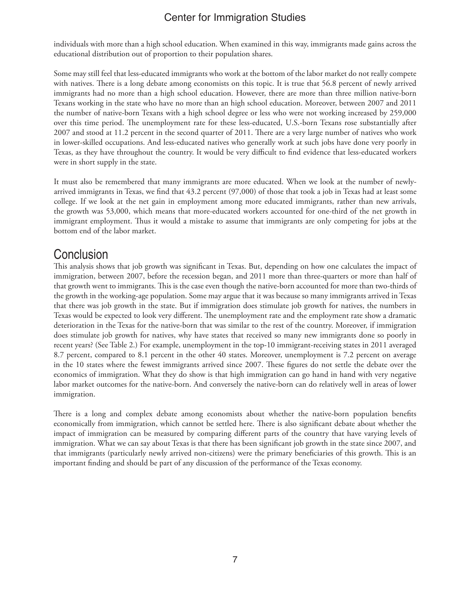individuals with more than a high school education. When examined in this way, immigrants made gains across the educational distribution out of proportion to their population shares.

Some may still feel that less-educated immigrants who work at the bottom of the labor market do not really compete with natives. There is a long debate among economists on this topic. It is true that 56.8 percent of newly arrived immigrants had no more than a high school education. However, there are more than three million native-born Texans working in the state who have no more than an high school education. Moreover, between 2007 and 2011 the number of native-born Texans with a high school degree or less who were not working increased by 259,000 over this time period. The unemployment rate for these less-educated, U.S.-born Texans rose substantially after 2007 and stood at 11.2 percent in the second quarter of 2011. There are a very large number of natives who work in lower-skilled occupations. And less-educated natives who generally work at such jobs have done very poorly in Texas, as they have throughout the country. It would be very difficult to find evidence that less-educated workers were in short supply in the state.

It must also be remembered that many immigrants are more educated. When we look at the number of newlyarrived immigrants in Texas, we find that 43.2 percent (97,000) of those that took a job in Texas had at least some college. If we look at the net gain in employment among more educated immigrants, rather than new arrivals, the growth was 53,000, which means that more-educated workers accounted for one-third of the net growth in immigrant employment. Thus it would a mistake to assume that immigrants are only competing for jobs at the bottom end of the labor market.

# **Conclusion**

This analysis shows that job growth was significant in Texas. But, depending on how one calculates the impact of immigration, between 2007, before the recession began, and 2011 more than three-quarters or more than half of that growth went to immigrants. This is the case even though the native-born accounted for more than two-thirds of the growth in the working-age population. Some may argue that it was because so many immigrants arrived in Texas that there was job growth in the state. But if immigration does stimulate job growth for natives, the numbers in Texas would be expected to look very different. The unemployment rate and the employment rate show a dramatic deterioration in the Texas for the native-born that was similar to the rest of the country. Moreover, if immigration does stimulate job growth for natives, why have states that received so many new immigrants done so poorly in recent years? (See Table 2.) For example, unemployment in the top-10 immigrant-receiving states in 2011 averaged 8.7 percent, compared to 8.1 percent in the other 40 states. Moreover, unemployment is 7.2 percent on average in the 10 states where the fewest immigrants arrived since 2007. These figures do not settle the debate over the economics of immigration. What they do show is that high immigration can go hand in hand with very negative labor market outcomes for the native-born. And conversely the native-born can do relatively well in areas of lower immigration.

There is a long and complex debate among economists about whether the native-born population benefits economically from immigration, which cannot be settled here. There is also significant debate about whether the impact of immigration can be measured by comparing different parts of the country that have varying levels of immigration. What we can say about Texas is that there has been significant job growth in the state since 2007, and that immigrants (particularly newly arrived non-citizens) were the primary beneficiaries of this growth. This is an important finding and should be part of any discussion of the performance of the Texas economy.